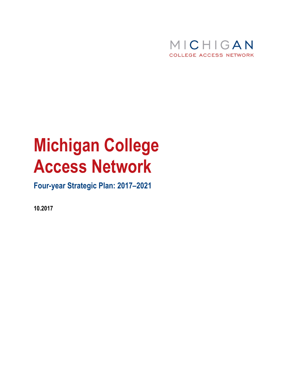

# **Michigan College Access Network**

# **Four-year Strategic Plan: 2017–2021**

**10.2017**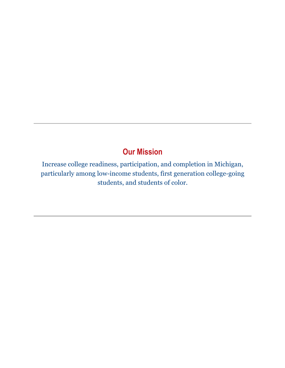# **Our Mission**

Increase college readiness, participation, and completion in Michigan, particularly among low-income students, first generation college-going students, and students of color.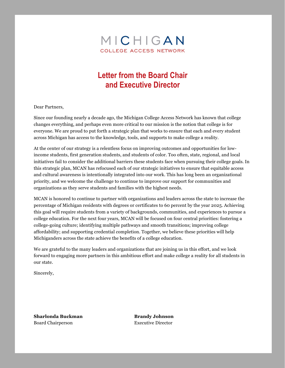

# **Letter from the Board Chair and Executive Director**

Dear Partners,

Since our founding nearly a decade ago, the Michigan College Access Network has known that college changes everything, and perhaps even more critical to our mission is the notion that college is for everyone. We are proud to put forth a strategic plan that works to ensure that each and every student across Michigan has access to the knowledge, tools, and supports to make college a reality.

At the center of our strategy is a relentless focus on improving outcomes and opportunities for lowincome students, first generation students, and students of color. Too often, state, regional, and local initiatives fail to consider the additional barriers these students face when pursuing their college goals. In this strategic plan, MCAN has refocused each of our strategic initiatives to ensure that equitable access and cultural awareness is intentionally integrated into our work. This has long been an organizational priority, and we welcome the challenge to continue to improve our support for communities and organizations as they serve students and families with the highest needs.

MCAN is honored to continue to partner with organizations and leaders across the state to increase the percentage of Michigan residents with degrees or certificates to 60 percent by the year 2025. Achieving this goal will require students from a variety of backgrounds, communities, and experiences to pursue a college education. For the next four years, MCAN will be focused on four central priorities: fostering a college-going culture; identifying multiple pathways and smooth transitions; improving college affordability; and supporting credential completion. Together, we believe these priorities will help Michiganders across the state achieve the benefits of a college education.

We are grateful to the many leaders and organizations that are joining us in this effort, and we look forward to engaging more partners in this ambitious effort and make college a reality for all students in our state.

Sincerely,

**Sharlonda Buckman Brandy Johnson** Board Chairperson Executive Director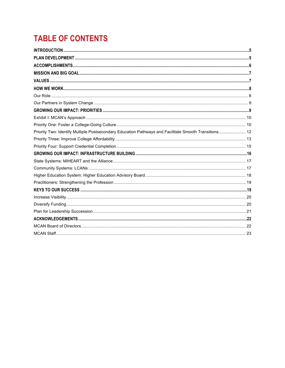# **TABLE OF CONTENTS**

| Priority Two: Identify Multiple Postsecondary Education Pathways and Facilitate Smooth Transitions 12 |  |
|-------------------------------------------------------------------------------------------------------|--|
|                                                                                                       |  |
|                                                                                                       |  |
|                                                                                                       |  |
|                                                                                                       |  |
|                                                                                                       |  |
|                                                                                                       |  |
|                                                                                                       |  |
|                                                                                                       |  |
|                                                                                                       |  |
|                                                                                                       |  |
|                                                                                                       |  |
|                                                                                                       |  |
|                                                                                                       |  |
|                                                                                                       |  |
|                                                                                                       |  |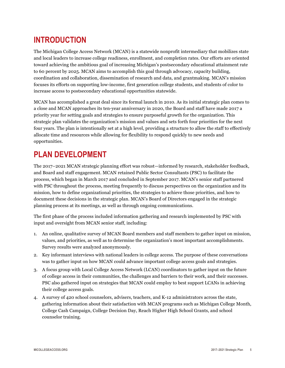# **INTRODUCTION**

The Michigan College Access Network (MCAN) is a statewide nonprofit intermediary that mobilizes state and local leaders to increase college readiness, enrollment, and completion rates. Our efforts are oriented toward achieving the ambitious goal of increasing Michigan's postsecondary educational attainment rate to 60 percent by 2025. MCAN aims to accomplish this goal through advocacy, capacity building, coordination and collaboration, dissemination of research and data, and grantmaking. MCAN's mission focuses its efforts on supporting low-income, first generation college students, and students of color to increase access to postsecondary educational opportunities statewide.

MCAN has accomplished a great deal since its formal launch in 2010. As its initial strategic plan comes to a close and MCAN approaches its ten-year anniversary in 2020, the Board and staff have made 2017 a priority year for setting goals and strategies to ensure purposeful growth for the organization. This strategic plan validates the organization's mission and values and sets forth four priorities for the next four years. The plan is intentionally set at a high level, providing a structure to allow the staff to effectively allocate time and resources while allowing for flexibility to respond quickly to new needs and opportunities.

# **PLAN DEVELOPMENT**

The 2017–2021 MCAN strategic planning effort was robust—informed by research, stakeholder feedback, and Board and staff engagement. MCAN retained Public Sector Consultants (PSC) to facilitate the process, which began in March 2017 and concluded in September 2017. MCAN's senior staff partnered with PSC throughout the process, meeting frequently to discuss perspectives on the organization and its mission, how to define organizational priorities, the strategies to achieve those priorities, and how to document these decisions in the strategic plan. MCAN's Board of Directors engaged in the strategic planning process at its meetings, as well as through ongoing communications.

The first phase of the process included information gathering and research implemented by PSC with input and oversight from MCAN senior staff, including:

- 1. An online, qualitative survey of MCAN Board members and staff members to gather input on mission, values, and priorities, as well as to determine the organization's most important accomplishments. Survey results were analyzed anonymously.
- 2. Key informant interviews with national leaders in college access. The purpose of these conversations was to gather input on how MCAN could advance important college access goals and strategies.
- 3. A focus group with Local College Access Network (LCAN) coordinators to gather input on the future of college access in their communities, the challenges and barriers to their work, and their successes. PSC also gathered input on strategies that MCAN could employ to best support LCANs in achieving their college access goals.
- 4. A survey of 420 school counselors, advisers, teachers, and K-12 administrators across the state, gathering information about their satisfaction with MCAN programs such as Michigan College Month, College Cash Campaign, College Decision Day, Reach Higher High School Grants, and school counselor training.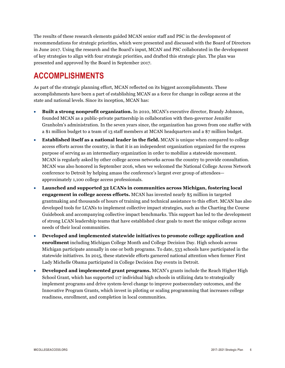The results of these research elements guided MCAN senior staff and PSC in the development of recommendations for strategic priorities, which were presented and discussed with the Board of Directors in June 2017. Using the research and the Board's input, MCAN and PSC collaborated in the development of key strategies to align with four strategic priorities, and drafted this strategic plan. The plan was presented and approved by the Board in September 2017.

# **ACCOMPLISHMENTS**

As part of the strategic planning effort, MCAN reflected on its biggest accomplishments. These accomplishments have been a part of establishing MCAN as a force for change in college access at the state and national levels. Since its inception, MCAN has:

- **Built a strong nonprofit organization.** In 2010, MCAN's executive director, Brandy Johnson, founded MCAN as a public-private partnership in collaboration with then-governor Jennifer Granholm's administration. In the seven years since, the organization has grown from one staffer with a \$1 million budget to a team of 13 staff members at MCAN headquarters and a \$7 million budget.
- **Established itself as a national leader in the field.** MCAN is unique when compared to college access efforts across the country, in that it is an independent organization organized for the express purpose of serving as an intermediary organization in order to mobilize a statewide movement. MCAN is regularly asked by other college access networks across the country to provide consultation. MCAN was also honored in September 2016, when we welcomed the National College Access Network conference to Detroit by helping amass the conference's largest ever group of attendees approximately 1,100 college access professionals.
- **Launched and supported 32 LCANs in communities across Michigan, fostering local engagement in college access efforts.** MCAN has invested nearly \$5 million in targeted grantmaking and thousands of hours of training and technical assistance to this effort. MCAN has also developed tools for LCANs to implement collective impact strategies, such as the Charting the Course Guidebook and accompanying collective impact benchmarks. This support has led to the development of strong LCAN leadership teams that have established clear goals to meet the unique college access needs of their local communities.
- **Developed and implemented statewide initiatives to promote college application and enrollment** including Michigan College Month and College Decision Day. High schools across Michigan participate annually in one or both programs. To date, 533 schools have participated in the statewide initiatives. In 2015, these statewide efforts garnered national attention when former First Lady Michelle Obama participated in College Decision Day events in Detroit.
- **Developed and implemented grant programs.** MCAN's grants include the Reach Higher High School Grant*,* which has supported 117 individual high schools in utilizing data to strategically implement programs and drive system-level change to improve postsecondary outcomes, and the Innovative Program Grants, which invest in piloting or scaling programming that increases college readiness, enrollment, and completion in local communities.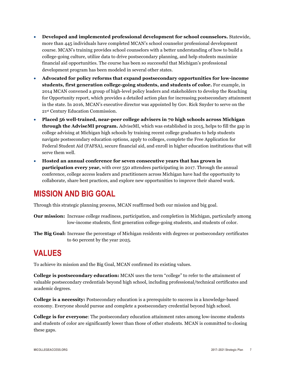- **Developed and implemented professional development for school counselors.** Statewide, more than 445 individuals have completed MCAN's school counselor professional development course. MCAN's training provides school counselors with a better understanding of how to build a college-going culture, utilize data to drive postsecondary planning, and help students maximize financial aid opportunities. The course has been so successful that Michigan's professional development program has been modeled in several other states.
- **Advocated for policy reforms that expand postsecondary opportunities for low-income students, first generation college-going students, and students of color.** For example, in 2014 MCAN convened a group of high-level policy leaders and stakeholders to develop the Reaching for Opportunity report, which provides a detailed action plan for increasing postsecondary attainment in the state. In 2016, MCAN's executive director was appointed by Gov. Rick Snyder to serve on the 21st Century Education Commission.
- **Placed 56 well-trained, near-peer college advisers in 70 high schools across Michigan through the AdviseMI program.** AdviseMI, which was established in 2015, helps to fill the gap in college advising at Michigan high schools by training recent college graduates to help students navigate postsecondary education options, apply to colleges, complete the Free Application for Federal Student Aid (FAFSA), secure financial aid, and enroll in higher education institutions that will serve them well.
- **Hosted an annual conference for seven consecutive years that has grown in participation every year,** with over 550 attendees participating in 2017. Through the annual conference, college access leaders and practitioners across Michigan have had the opportunity to collaborate, share best practices, and explore new opportunities to improve their shared work.

# **MISSION AND BIG GOAL**

Through this strategic planning process, MCAN reaffirmed both our mission and big goal.

- **Our mission:** Increase college readiness, participation, and completion in Michigan, particularly among low-income students, first generation college-going students, and students of color.
- **The Big Goal:** Increase the percentage of Michigan residents with degrees or postsecondary certificates to 60 percent by the year 2025.

# **VALUES**

To achieve its mission and the Big Goal, MCAN confirmed its existing values.

**College is postsecondary education:** MCAN uses the term "college" to refer to the attainment of valuable postsecondary credentials beyond high school, including professional/technical certificates and academic degrees.

**College is a necessity:** Postsecondary education is a prerequisite to success in a knowledge-based economy. Everyone should pursue and complete a postsecondary credential beyond high school.

**College is for everyone**: The postsecondary education attainment rates among low-income students and students of color are significantly lower than those of other students. MCAN is committed to closing these gaps.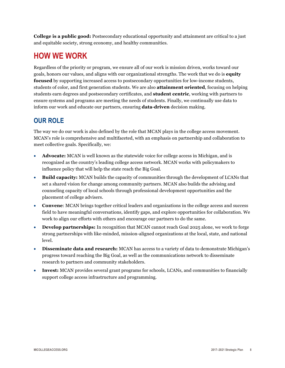**College is a public good:** Postsecondary educational opportunity and attainment are critical to a just and equitable society, strong economy, and healthy communities.

# **HOW WE WORK**

Regardless of the priority or program, we ensure all of our work is mission driven, works toward our goals, honors our values, and aligns with our organizational strengths. The work that we do is **equity focused** by supporting increased access to postsecondary opportunities for low-income students, students of color, and first generation students. We are also **attainment oriented**, focusing on helping students earn degrees and postsecondary certificates, and **student centric**, working with partners to ensure systems and programs are meeting the needs of students. Finally, we continually use data to inform our work and educate our partners, ensuring **data-driven** decision making.

## **OUR ROLE**

The way we do our work is also defined by the role that MCAN plays in the college access movement. MCAN's role is comprehensive and multifaceted, with an emphasis on partnership and collaboration to meet collective goals. Specifically, we:

- **Advocate:** MCAN is well known as the statewide voice for college access in Michigan, and is recognized as the country's leading college access network. MCAN works with policymakers to influence policy that will help the state reach the Big Goal.
- **Build capacity:** MCAN builds the capacity of communities through the development of LCANs that set a shared vision for change among community partners. MCAN also builds the advising and counseling capacity of local schools through professional development opportunities and the placement of college advisers.
- **Convene**: MCAN brings together critical leaders and organizations in the college access and success field to have meaningful conversations, identify gaps, and explore opportunities for collaboration. We work to align our efforts with others and encourage our partners to do the same.
- **Develop partnerships:** In recognition that MCAN cannot reach Goal 2025 alone, we work to forge strong partnerships with like-minded, mission-aligned organizations at the local, state, and national level.
- **Disseminate data and research:** MCAN has access to a variety of data to demonstrate Michigan's progress toward reaching the Big Goal, as well as the communications network to disseminate research to partners and community stakeholders.
- **Invest:** MCAN provides several grant programs for schools, LCANs, and communities to financially support college access infrastructure and programming.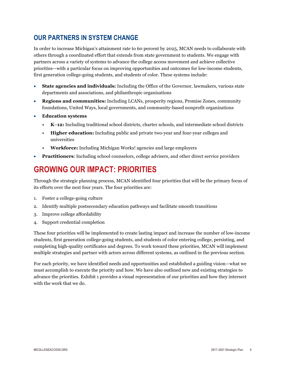### **OUR PARTNERS IN SYSTEM CHANGE**

In order to increase Michigan's attainment rate to 60 percent by 2025, MCAN needs to collaborate with others through a coordinated effort that extends from state government to students. We engage with partners across a variety of systems to advance the college access movement and achieve collective priorities—with a particular focus on improving opportunities and outcomes for low-income students, first generation college-going students, and students of color. These systems include:

- **State agencies and individuals:** Including the Office of the Governor, lawmakers, various state departments and associations, and philanthropic organizations
- **Regions and communities:** Including LCANs, prosperity regions, Promise Zones, community foundations, United Ways, local governments, and community-based nonprofit organizations
- **Education systems**
	- **K**–**12:** Including traditional school districts, charter schools, and intermediate school districts
	- **Higher education:** Including public and private two-year and four-year colleges and universities
	- **Workforce:** Including Michigan Works! agencies and large employers
- **Practitioners**: Including school counselors, college advisers, and other direct service providers

# **GROWING OUR IMPACT: PRIORITIES**

Through the strategic planning process, MCAN identified four priorities that will be the primary focus of its efforts over the next four years. The four priorities are:

- 1. Foster a college-going culture
- 2. Identify multiple postsecondary education pathways and facilitate smooth transitions
- 3. Improve college affordability
- 4. Support credential completion

These four priorities will be implemented to create lasting impact and increase the number of low-income students, first generation college-going students, and students of color entering college, persisting, and completing high-quality certificates and degrees. To work toward these priorities, MCAN will implement multiple strategies and partner with actors across different systems, as outlined in the previous section.

For each priority, we have identified needs and opportunities and established a guiding vision—what we must accomplish to execute the priority and how. We have also outlined new and existing strategies to advance the priorities. Exhibit 1 provides a visual representation of our priorities and how they intersect with the work that we do.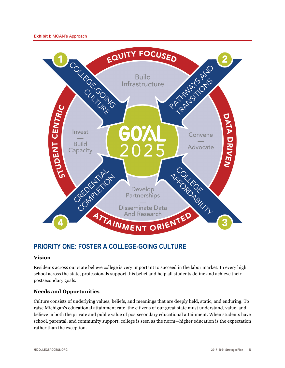

### **PRIORITY ONE: FOSTER A COLLEGE-GOING CULTURE**

#### **Vision**

Residents across our state believe college is very important to succeed in the labor market. In every high school across the state, professionals support this belief and help all students define and achieve their postsecondary goals.

### **Needs and Opportunities**

Culture consists of underlying values, beliefs, and meanings that are deeply held, static, and enduring. To raise Michigan's educational attainment rate, the citizens of our great state must understand, value, and believe in both the private and public value of postsecondary educational attainment. When students have school, parental, and community support, college is seen as the norm—higher education is the expectation rather than the exception.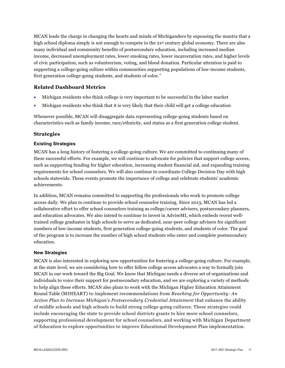MCAN leads the charge in changing the hearts and minds of Michiganders by espousing the mantra that a high school diploma simply is not enough to compete in the 21<sup>st</sup> century global economy. There are also many individual and community benefits of postsecondary education, including increased median income, decreased unemployment rates, lower smoking rates, lower incarceration rates, and higher levels of civic participation, such as volunteerism, voting, and blood donation. Particular attention is paid to supporting a college-going culture within communities supporting populations of low-income students, first generation college-going students, and students of color."

### **Related Dashboard Metrics**

- Michigan residents who think college is very important to be successful in the labor market
- Michigan residents who think that it is very likely that their child will get a college education

Whenever possible, MCAN will disaggregate data representing college-going students based on characteristics such as family income, race/ethnicity, and status as a first generation college student.

### **Strategies**

#### **Existing Strategies**

MCAN has a long history of fostering a college-going culture. We are committed to continuing many of these successful efforts. For example, we will continue to advocate for policies that support college access, such as supporting funding for higher education, increasing student financial aid, and expanding training requirements for school counselors. We will also continue to coordinate College Decision Day with high schools statewide. These events promote the importance of college and celebrate students' academic achievements.

In addition, MCAN remains committed to supporting the professionals who work to promote college access daily. We plan to continue to provide school counselor training. Since 2013, MCAN has led a collaborative effort to offer school counselors training as college/career advisers, postsecondary planners, and education advocates. We also intend to continue to invest in AdviseMI, which embeds recent welltrained college graduates in high schools to serve as dedicated, near-peer college advisers for significant numbers of low-income students, first generation college-going students, and students of color. The goal of the program is to increase the number of high school students who enter and complete postsecondary education.

#### **New Strategies**

MCAN is also interested in exploring new opportunities for fostering a college-going culture. For example, at the state level, we are considering how to offer fellow college access advocates a way to formally join MCAN in our work toward the Big Goal. We know that Michigan needs a diverse set of organizations and individuals to voice their support for postsecondary education, and we are exploring a variety of methods to help align these efforts. MCAN also plans to work with the Michigan Higher Education Attainment Round Table (MIHEART) to implement recommendations from *Reaching for Opportunity: An Action Plan to Increase Michigan's Postsecondary Credential Attainment* that enhance the ability of middle schools and high schools to build strong college-going cultures. These strategies could include encouraging the state to provide school districts grants to hire more school counselors, supporting professional development for school counselors, and working with Michigan Department of Education to explore opportunities to improve Educational Development Plan implementation.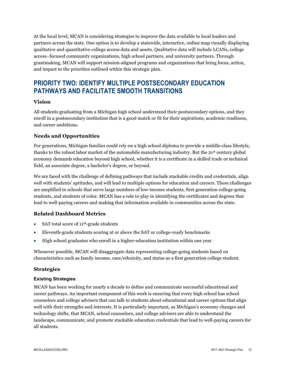At the local level, MCAN is considering strategies to improve the data available to local leaders and partners across the state. One option is to develop a statewide, interactive, online map visually displaying qualitative and quantitative college access data and assets. Qualitative data will include LCANs, college access–focused community organizations, high school partners, and university partners. Through grantmaking, MCAN will support mission-aligned programs and organizations that bring focus, action, and impact to the priorities outlined within this strategic plan.

### **PRIORITY TWO: IDENTIFY MULTIPLE POSTSECONDARY EDUCATION PATHWAYS AND FACILITATE SMOOTH TRANSITIONS**

#### **Vision**

All students graduating from a Michigan high school understand their postsecondary options, and they enroll in a postsecondary institution that is a good match or fit for their aspirations, academic readiness, and career ambitions.

### **Needs and Opportunities**

For generations, Michigan families could rely on a high school diploma to provide a middle-class lifestyle, thanks to the robust labor market of the automobile manufacturing industry. But the 21st century global economy demands education beyond high school, whether it is a certificate in a skilled trade or technical field, an associate degree, a bachelor's degree, or beyond.

We are faced with the challenge of defining pathways that include stackable credits and credentials, align well with students' aptitudes, and will lead to multiple options for education and careers. These challenges are amplified in schools that serve large numbers of low-income students, first generation college-going students, and students of color. MCAN has a role to play in identifying the certificates and degrees that lead to well-paying careers and making that information available in communities across the state.

### **Related Dashboard Metrics**

- SAT total score of 11<sup>th</sup>-grade students
- Eleventh-grade students scoring at or above the SAT or college-ready benchmarks
- High school graduates who enroll in a higher-education institution within one year

Whenever possible, MCAN will disaggregate data representing college-going students based on characteristics such as family income, race/ethnicity, and status as a first generation college student.

### **Strategies**

#### **Existing Strategies**

MCAN has been working for nearly a decade to define and communicate successful educational and career pathways. An important component of this work is ensuring that every high school has school counselors and college advisers that can talk to students about educational and career options that align well with their strengths and interests. It is particularly important, as Michigan's economy changes and technology shifts, that MCAN, school counselors, and college advisers are able to understand the landscape, communicate, and promote stackable education credentials that lead to well-paying careers for all students.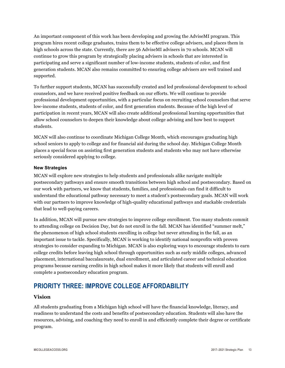An important component of this work has been developing and growing the AdviseMI program. This program hires recent college graduates, trains them to be effective college advisers, and places them in high schools across the state. Currently, there are 56 AdviseMI advisers in 70 schools. MCAN will continue to grow this program by strategically placing advisers in schools that are interested in participating and serve a significant number of low-income students, students of color, and first generation students. MCAN also remains committed to ensuring college advisers are well trained and supported.

To further support students, MCAN has successfully created and led professional development to school counselors, and we have received positive feedback on our efforts. We will continue to provide professional development opportunities, with a particular focus on recruiting school counselors that serve low-income students, students of color, and first generation students. Because of the high level of participation in recent years, MCAN will also create additional professional learning opportunities that allow school counselors to deepen their knowledge about college advising and how best to support students.

MCAN will also continue to coordinate Michigan College Month, which encourages graduating high school seniors to apply to college and for financial aid during the school day. Michigan College Month places a special focus on assisting first generation students and students who may not have otherwise seriously considered applying to college.

#### **New Strategies**

MCAN will explore new strategies to help students and professionals alike navigate multiple postsecondary pathways and ensure smooth transitions between high school and postsecondary. Based on our work with partners, we know that students, families, and professionals can find it difficult to understand the educational pathway necessary to meet a student's postsecondary goals. MCAN will work with our partners to improve knowledge of high-quality educational pathways and stackable credentials that lead to well-paying careers.

In addition, MCAN will pursue new strategies to improve college enrollment. Too many students commit to attending college on Decision Day, but do not enroll in the fall. MCAN has identified "summer melt," the phenomenon of high school students enrolling in college but never attending in the fall, as an important issue to tackle. Specifically, MCAN is working to identify national nonprofits with proven strategies to consider expanding to Michigan. MCAN is also exploring ways to encourage students to earn college credits before leaving high school through opportunities such as early middle colleges, advanced placement, international baccalaureate, dual enrollment, and articulated career and technical education programs because earning credits in high school makes it more likely that students will enroll and complete a postsecondary education program.

### **PRIORITY THREE: IMPROVE COLLEGE AFFORDABILITY**

### **Vision**

All students graduating from a Michigan high school will have the financial knowledge, literacy, and readiness to understand the costs and benefits of postsecondary education. Students will also have the resources, advising, and coaching they need to enroll in and efficiently complete their degree or certificate program.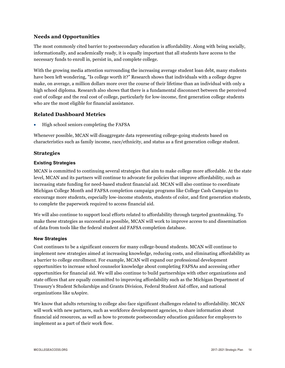### **Needs and Opportunities**

The most commonly cited barrier to postsecondary education is affordability. Along with being socially, informationally, and academically ready, it is equally important that all students have access to the necessary funds to enroll in, persist in, and complete college.

With the growing media attention surrounding the increasing average student loan debt, many students have been left wondering, "Is college worth it?" Research shows that individuals with a college degree make, on average, a million dollars more over the course of their lifetime than an individual with only a high school diploma. Research also shows that there is a fundamental disconnect between the perceived cost of college and the real cost of college, particularly for low-income, first generation college students who are the most eligible for financial assistance.

### **Related Dashboard Metrics**

• High school seniors completing the FAFSA

Whenever possible, MCAN will disaggregate data representing college-going students based on characteristics such as family income, race/ethnicity, and status as a first generation college student.

#### **Strategies**

#### **Existing Strategies**

MCAN is committed to continuing several strategies that aim to make college more affordable. At the state level, MCAN and its partners will continue to advocate for policies that improve affordability, such as increasing state funding for need-based student financial aid. MCAN will also continue to coordinate Michigan College Month and FAFSA completion campaign programs like College Cash Campaign to encourage more students, especially low-income students, students of color, and first generation students, to complete the paperwork required to access financial aid.

We will also continue to support local efforts related to affordability through targeted grantmaking. To make these strategies as successful as possible, MCAN will work to improve access to and dissemination of data from tools like the federal student aid FAFSA completion database.

#### **New Strategies**

Cost continues to be a significant concern for many college-bound students. MCAN will continue to implement new strategies aimed at increasing knowledge, reducing costs, and eliminating affordability as a barrier to college enrollment. For example, MCAN will expand our professional development opportunities to increase school counselor knowledge about completing FAFSAs and accessing other opportunities for financial aid. We will also continue to build partnerships with other organizations and state offices that are equally committed to improving affordability such as the Michigan Department of Treasury's Student Scholarships and Grants Division, Federal Student Aid office, and national organizations like uAspire.

We know that adults returning to college also face significant challenges related to affordability. MCAN will work with new partners, such as workforce development agencies, to share information about financial aid resources, as well as how to promote postsecondary education guidance for employers to implement as a part of their work flow.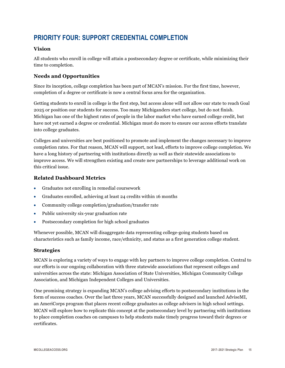### **PRIORITY FOUR: SUPPORT CREDENTIAL COMPLETION**

### **Vision**

All students who enroll in college will attain a postsecondary degree or certificate, while minimizing their time to completion.

### **Needs and Opportunities**

Since its inception, college completion has been part of MCAN's mission. For the first time, however, completion of a degree or certificate is now a central focus area for the organization.

Getting students to enroll in college is the first step, but access alone will not allow our state to reach Goal 2025 or position our students for success. Too many Michiganders start college, but do not finish. Michigan has one of the highest rates of people in the labor market who have earned college credit, but have not yet earned a degree or credential. Michigan must do more to ensure our access efforts translate into college graduates.

Colleges and universities are best positioned to promote and implement the changes necessary to improve completion rates. For that reason, MCAN will support, not lead, efforts to improve college completion. We have a long history of partnering with institutions directly as well as their statewide associations to improve access. We will strengthen existing and create new partnerships to leverage additional work on this critical issue.

### **Related Dashboard Metrics**

- Graduates not enrolling in remedial coursework
- Graduates enrolled, achieving at least 24 credits within 16 months
- Community college completion/graduation/transfer rate
- Public university six-year graduation rate
- Postsecondary completion for high school graduates

Whenever possible, MCAN will disaggregate data representing college-going students based on characteristics such as family income, race/ethnicity, and status as a first generation college student.

### **Strategies**

MCAN is exploring a variety of ways to engage with key partners to improve college completion. Central to our efforts is our ongoing collaboration with three statewide associations that represent colleges and universities across the state: Michigan Association of State Universities, Michigan Community College Association, and Michigan Independent Colleges and Universities.

One promising strategy is expanding MCAN's college advising efforts to postsecondary institutions in the form of success coaches. Over the last three years, MCAN successfully designed and launched AdviseMI, an AmeriCorps program that places recent college graduates as college advisers in high school settings. MCAN will explore how to replicate this concept at the postsecondary level by partnering with institutions to place completion coaches on campuses to help students make timely progress toward their degrees or certificates.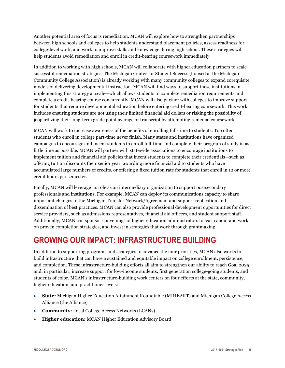Another potential area of focus is remediation. MCAN will explore how to strengthen partnerships between high schools and colleges to help students understand placement policies, assess readiness for college-level work, and work to improve skills and knowledge during high school. These strategies will help students avoid remediation and enroll in credit-bearing coursework immediately.

In addition to working with high schools, MCAN will collaborate with higher education partners to scale successful remediation strategies. The Michigan Center for Student Success (housed at the Michigan Community College Association) is already working with many community colleges to expand corequisite models of delivering developmental instruction. MCAN will find ways to support these institutions in implementing this strategy at scale—which allows students to complete remediation requirements and complete a credit-bearing course concurrently. MCAN will also partner with colleges to improve support for students that require developmental education before entering credit-bearing coursework. This work includes ensuring students are not using their limited financial aid dollars or risking the possibility of jeopardizing their long-term grade point average or transcript by attempting remedial coursework.

MCAN will work to increase awareness of the benefits of enrolling full-time to students. Too often students who enroll in college part-time never finish. Many states and institutions have organized campaigns to encourage and incent students to enroll full-time and complete their program of study in as little time as possible. MCAN will partner with statewide associations to encourage institutions to implement tuition and financial aid policies that incent students to complete their credentials—such as offering tuition discounts their senior year, awarding more financial aid to students who have accumulated large numbers of credits, or offering a fixed tuition rate for students that enroll in 12 or more credit hours per semester.

Finally, MCAN will leverage its role as an intermediary organization to support postsecondary professionals and institutions. For example, MCAN can deploy its communications capacity to share important changes to the Michigan Transfer Network/Agreement and support replication and dissemination of best practices. MCAN can also provide professional development opportunities for direct service providers, such as admissions representatives, financial aid officers, and student support staff. Additionally, MCAN can sponsor convenings of higher education administrators to learn about and work on proven completion strategies, and invest in strategies that work through grantmaking.

# **GROWING OUR IMPACT: INFRASTRUCTURE BUILDING**

In addition to supporting programs and strategies to advance the four priorities, MCAN also works to build infrastructure that can have a sustained and equitable impact on college enrollment, persistence, and completion. These infrastructure-building efforts all aim to strengthen our ability to reach Goal 2025, and, in particular, increase support for low-income students, first generation college-going students, and students of color. MCAN's infrastructure-building work centers on four efforts at the state, community, higher education, and practitioner levels:

- **State:** Michigan Higher Education Attainment Roundtable (MIHEART) and Michigan College Access Alliance (the Alliance)
- **Community:** Local College Access Networks (LCANs)
- **Higher education:** MCAN Higher Education Advisory Board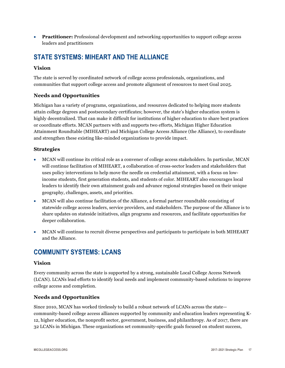• **Practitioner:** Professional development and networking opportunities to support college access leaders and practitioners

### **STATE SYSTEMS: MIHEART AND THE ALLIANCE**

### **Vision**

The state is served by coordinated network of college access professionals, organizations, and communities that support college access and promote alignment of resources to meet Goal 2025.

### **Needs and Opportunities**

Michigan has a variety of programs, organizations, and resources dedicated to helping more students attain college degrees and postsecondary certificates; however, the state's higher education system is highly decentralized. That can make it difficult for institutions of higher education to share best practices or coordinate efforts. MCAN partners with and supports two efforts, Michigan Higher Education Attainment Roundtable (MIHEART) and Michigan College Access Alliance (the Alliance), to coordinate and strengthen these existing like-minded organizations to provide impact.

### **Strategies**

- MCAN will continue its critical role as a convener of college access stakeholders. In particular, MCAN will continue facilitation of MIHEART, a collaboration of cross-sector leaders and stakeholders that uses policy interventions to help move the needle on credential attainment, with a focus on lowincome students, first generation students, and students of color. MIHEART also encourages local leaders to identify their own attainment goals and advance regional strategies based on their unique geography, challenges, assets, and priorities.
- MCAN will also continue facilitation of the Alliance, a formal partner roundtable consisting of statewide college access leaders, service providers, and stakeholders. The purpose of the Alliance is to share updates on stateside initiatives, align programs and resources, and facilitate opportunities for deeper collaboration.
- MCAN will continue to recruit diverse perspectives and participants to participate in both MIHEART and the Alliance.

### **COMMUNITY SYSTEMS: LCANS**

### **Vision**

Every community across the state is supported by a strong, sustainable Local College Access Network (LCAN). LCANs lead efforts to identify local needs and implement community-based solutions to improve college access and completion.

### **Needs and Opportunities**

Since 2010, MCAN has worked tirelessly to build a robust network of LCANs across the state community-based college access alliances supported by community and education leaders representing K-12, higher education, the nonprofit sector, government, business, and philanthropy. As of 2017, there are 32 LCANs in Michigan. These organizations set community-specific goals focused on student success,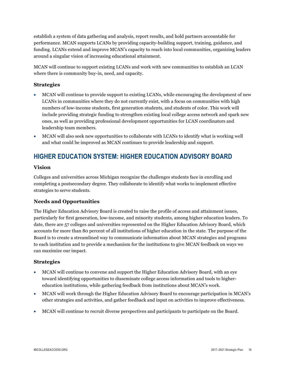establish a system of data gathering and analysis, report results, and hold partners accountable for performance. MCAN supports LCANs by providing capacity-building support, training, guidance, and funding. LCANs extend and improve MCAN's capacity to reach into local communities, organizing leaders around a singular vision of increasing educational attainment.

MCAN will continue to support existing LCANs and work with new communities to establish an LCAN where there is community buy-in, need, and capacity.

### **Strategies**

- MCAN will continue to provide support to existing LCANs, while encouraging the development of new LCANs in communities where they do not currently exist, with a focus on communities with high numbers of low-income students, first generation students, and students of color. This work will include providing strategic funding to strengthen existing local college access network and spark new ones, as well as providing professional development opportunities for LCAN coordinators and leadership team members.
- MCAN will also seek new opportunities to collaborate with LCANs to identify what is working well and what could be improved as MCAN continues to provide leadership and support.

### **HIGHER EDUCATION SYSTEM: HIGHER EDUCATION ADVISORY BOARD**

### **Vision**

Colleges and universities across Michigan recognize the challenges students face in enrolling and completing a postsecondary degree. They collaborate to identify what works to implement effective strategies to serve students.

### **Needs and Opportunities**

The Higher Education Advisory Board is created to raise the profile of access and attainment issues, particularly for first generation, low-income, and minority students, among higher education leaders. To date, there are 57 colleges and universities represented on the Higher Education Advisory Board, which accounts for more than 80 percent of all institutions of higher education in the state. The purpose of the Board is to create a streamlined way to communicate information about MCAN strategies and programs to each institution and to provide a mechanism for the institutions to give MCAN feedback on ways we can maximize our impact.

### **Strategies**

- MCAN will continue to convene and support the Higher Education Advisory Board, with an eye toward identifying opportunities to disseminate college access information and tools to highereducation institutions, while gathering feedback from institutions about MCAN's work.
- MCAN will work through the Higher Education Advisory Board to encourage participation in MCAN's other strategies and activities, and gather feedback and input on activities to improve effectiveness.
- MCAN will continue to recruit diverse perspectives and participants to participate on the Board.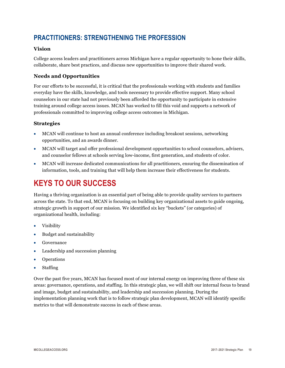### **PRACTITIONERS: STRENGTHENING THE PROFESSION**

### **Vision**

College access leaders and practitioners across Michigan have a regular opportunity to hone their skills, collaborate, share best practices, and discuss new opportunities to improve their shared work.

### **Needs and Opportunities**

For our efforts to be successful, it is critical that the professionals working with students and families everyday have the skills, knowledge, and tools necessary to provide effective support. Many school counselors in our state had not previously been afforded the opportunity to participate in extensive training around college access issues. MCAN has worked to fill this void and supports a network of professionals committed to improving college access outcomes in Michigan.

#### **Strategies**

- MCAN will continue to host an annual conference including breakout sessions, networking opportunities, and an awards dinner.
- MCAN will target and offer professional development opportunities to school counselors, advisers, and counselor fellows at schools serving low-income, first generation, and students of color.
- MCAN will increase dedicated communications for all practitioners, ensuring the dissemination of information, tools, and training that will help them increase their effectiveness for students.

# **KEYS TO OUR SUCCESS**

Having a thriving organization is an essential part of being able to provide quality services to partners across the state. To that end, MCAN is focusing on building key organizational assets to guide ongoing, strategic growth in support of our mission. We identified six key "buckets" (or categories) of organizational health, including:

- Visibility
- Budget and sustainability
- Governance
- Leadership and succession planning
- Operations
- Staffing

Over the past five years, MCAN has focused most of our internal energy on improving three of these six areas: governance, operations, and staffing. In this strategic plan, we will shift our internal focus to brand and image, budget and sustainability, and leadership and succession planning. During the implementation planning work that is to follow strategic plan development, MCAN will identify specific metrics to that will demonstrate success in each of these areas.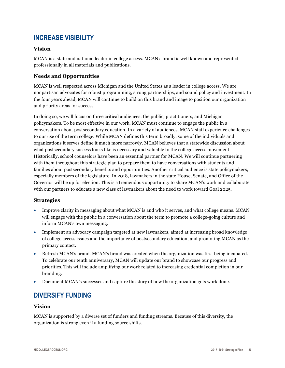### **INCREASE VISIBILITY**

### **Vision**

MCAN is a state and national leader in college access. MCAN's brand is well known and represented professionally in all materials and publications.

### **Needs and Opportunities**

MCAN is well respected across Michigan and the United States as a leader in college access. We are nonpartisan advocates for robust programming, strong partnerships, and sound policy and investment. In the four years ahead, MCAN will continue to build on this brand and image to position our organization and priority areas for success.

In doing so, we will focus on three critical audiences: the public, practitioners, and Michigan policymakers. To be most effective in our work, MCAN must continue to engage the public in a conversation about postsecondary education. In a variety of audiences, MCAN staff experience challenges to our use of the term college. While MCAN defines this term broadly, some of the individuals and organizations it serves define it much more narrowly. MCAN believes that a statewide discussion about what postsecondary success looks like is necessary and valuable to the college access movement. Historically, school counselors have been an essential partner for MCAN. We will continue partnering with them throughout this strategic plan to prepare them to have conversations with students and families about postsecondary benefits and opportunities. Another critical audience is state policymakers, especially members of the legislature. In 2018, lawmakers in the state House, Senate, and Office of the Governor will be up for election. This is a tremendous opportunity to share MCAN's work and collaborate with our partners to educate a new class of lawmakers about the need to work toward Goal 2025.

### **Strategies**

- Improve clarity in messaging about what MCAN is and who it serves, and what college means. MCAN will engage with the public in a conversation about the term to promote a college-going culture and inform MCAN's own messaging.
- Implement an advocacy campaign targeted at new lawmakers, aimed at increasing broad knowledge of college access issues and the importance of postsecondary education, and promoting MCAN as the primary contact.
- Refresh MCAN's brand. MCAN's brand was created when the organization was first being incubated. To celebrate our tenth anniversary, MCAN will update our brand to showcase our progress and priorities. This will include amplifying our work related to increasing credential completion in our branding.
- Document MCAN's successes and capture the story of how the organization gets work done.

### **DIVERSIFY FUNDING**

### **Vision**

MCAN is supported by a diverse set of funders and funding streams. Because of this diversity, the organization is strong even if a funding source shifts.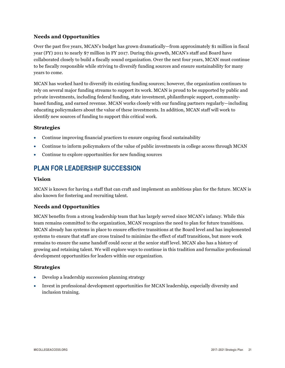### **Needs and Opportunities**

Over the past five years, MCAN's budget has grown dramatically—from approximately \$1 million in fiscal year (FY) 2011 to nearly \$7 million in FY 2017. During this growth, MCAN's staff and Board have collaborated closely to build a fiscally sound organization. Over the next four years, MCAN must continue to be fiscally responsible while striving to diversify funding sources and ensure sustainability for many years to come.

MCAN has worked hard to diversify its existing funding sources; however, the organization continues to rely on several major funding streams to support its work. MCAN is proud to be supported by public and private investments, including federal funding, state investment, philanthropic support, communitybased funding, and earned revenue. MCAN works closely with our funding partners regularly—including educating policymakers about the value of these investments. In addition, MCAN staff will work to identify new sources of funding to support this critical work.

#### **Strategies**

- Continue improving financial practices to ensure ongoing fiscal sustainability
- Continue to inform policymakers of the value of public investments in college access through MCAN
- Continue to explore opportunities for new funding sources

### **PLAN FOR LEADERSHIP SUCCESSION**

#### **Vision**

MCAN is known for having a staff that can craft and implement an ambitious plan for the future. MCAN is also known for fostering and recruiting talent.

### **Needs and Opportunities**

MCAN benefits from a strong leadership team that has largely served since MCAN's infancy. While this team remains committed to the organization, MCAN recognizes the need to plan for future transitions. MCAN already has systems in place to ensure effective transitions at the Board level and has implemented systems to ensure that staff are cross trained to minimize the effect of staff transitions, but more work remains to ensure the same handoff could occur at the senior staff level. MCAN also has a history of growing and retaining talent. We will explore ways to continue in this tradition and formalize professional development opportunities for leaders within our organization.

#### **Strategies**

- Develop a leadership succession planning strategy
- Invest in professional development opportunities for MCAN leadership, especially diversity and inclusion training.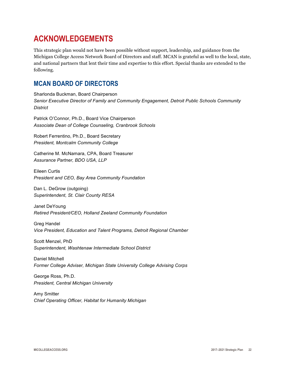# **ACKNOWLEDGEMENTS**

This strategic plan would not have been possible without support, leadership, and guidance from the Michigan College Access Network Board of Directors and staff. MCAN is grateful as well to the local, state, and national partners that lent their time and expertise to this effort. Special thanks are extended to the following.

### **MCAN BOARD OF DIRECTORS**

Sharlonda Buckman, Board Chairperson *Senior Executive Director of Family and Community Engagement, Detroit Public Schools Community District*

Patrick O'Connor, Ph.D., Board Vice Chairperson *Associate Dean of College Counseling, Cranbrook Schools*

Robert Ferrentino, Ph.D., Board Secretary *President, Montcalm Community College*

Catherine M. McNamara, CPA, Board Treasurer *Assurance Partner, BDO USA, LLP*

Eileen Curtis *President and CEO, Bay Area Community Foundation*

Dan L. DeGrow (outgoing) *Superintendent, St. Clair County RESA*

Janet DeYoung *Retired President/CEO, Holland Zeeland Community Foundation*

Greg Handel *Vice President, Education and Talent Programs, Detroit Regional Chamber*

Scott Menzel, PhD *Superintendent, Washtenaw Intermediate School District*

Daniel Mitchell *Former College Adviser, Michigan State University College Advising Corps*

George Ross, Ph.D. *President, Central Michigan University*

Amy Smitter *Chief Operating Officer, Habitat for Humanity Michigan*